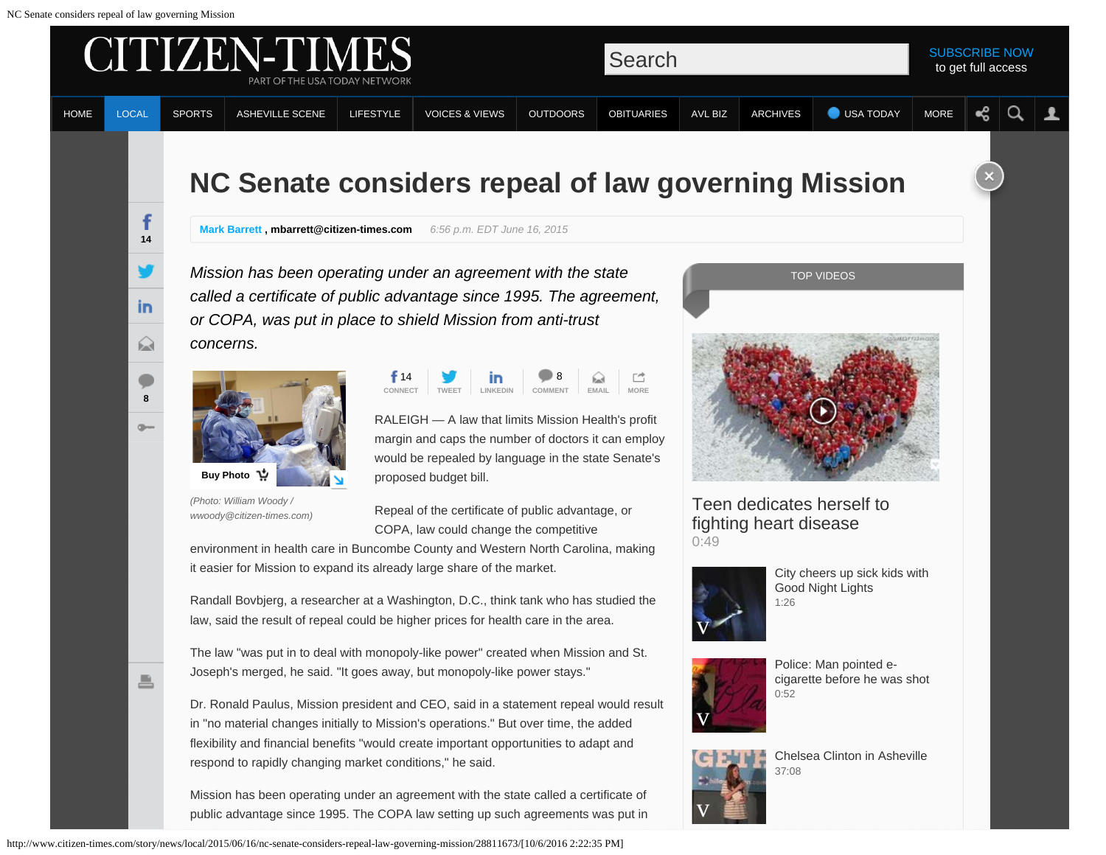

[Chelsea Clinton in Asheville](http://www.citizen-times.com/videos/news/2900097860001/5146664734001)

[37:08](http://www.citizen-times.com/videos/news/2900097860001/5146664734001)

[v](http://www.citizen-times.com/videos/news/2900097860001/5146664734001)

Mission has been operating under an agreement with the state called a certificate of public advantage since 1995. The COPA law setting up such agreements was put in

respond to rapidly changing market conditions," he said.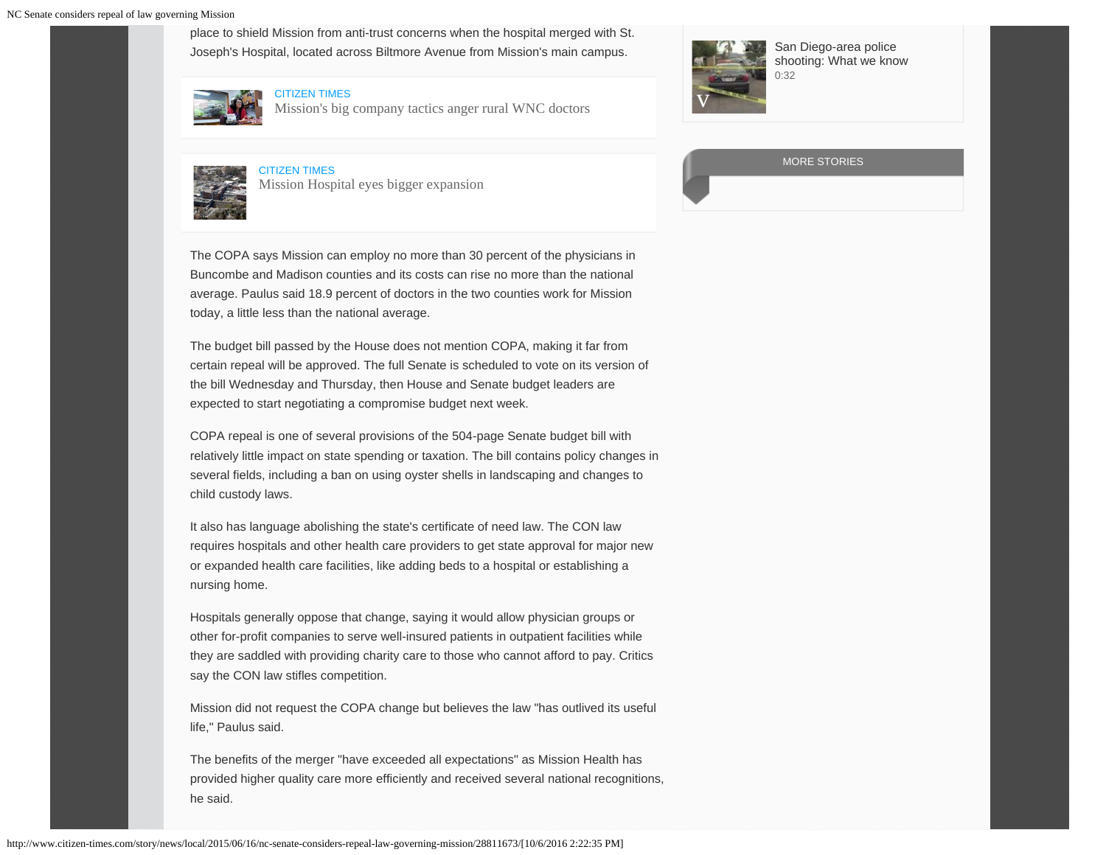place to shield Mission from anti-trust concerns when the hospital merged with St. Joseph's Hospital, located across Biltmore Avenue from Mission's main campus.





[Mission's big company tactics anger rural WNC doctors](http://www.citizen-times.com/story/news/local/2015/04/18/rural-hospitals-concerned-mission-hospital-asheville-north-carolina-tactics/25956329/?from=global&sessionKey=&autologin=)



[CITIZEN TIMES](http://www.citizen-times.com/story/news/local/2015/04/11/mission-hospital-expansion-asheville-western-north-carolina-insurance-company/25523499/) [Mission Hospital eyes bigger expansion](http://www.citizen-times.com/story/news/local/2015/04/11/mission-hospital-expansion-asheville-western-north-carolina-insurance-company/25523499/)



[San Diego-area police](http://www.citizen-times.com/videos/news/2900097860001/5145210867001) [shooting: What we know](http://www.citizen-times.com/videos/news/2900097860001/5145210867001) [0:32](http://www.citizen-times.com/videos/news/2900097860001/5145210867001)

MORE STORIES

The COPA says Mission can employ no more than 30 percent of the physicians in Buncombe and Madison counties and its costs can rise no more than the national average. Paulus said 18.9 percent of doctors in the two counties work for Mission today, a little less than the national average.

The budget bill passed by the House does not mention COPA, making it far from certain repeal will be approved. The full Senate is scheduled to vote on its version of the bill Wednesday and Thursday, then House and Senate budget leaders are expected to start negotiating a compromise budget next week.

COPA repeal is one of several provisions of the 504-page Senate budget bill with relatively little impact on state spending or taxation. The bill contains policy changes in several fields, including a ban on using oyster shells in landscaping and changes to child custody laws.

It also has language abolishing the state's certificate of need law. The CON law requires hospitals and other health care providers to get state approval for major new or expanded health care facilities, like adding beds to a hospital or establishing a nursing home.

Hospitals generally oppose that change, saying it would allow physician groups or other for-profit companies to serve well-insured patients in outpatient facilities while they are saddled with providing charity care to those who cannot afford to pay. Critics say the CON law stifles competition.

Mission did not request the COPA change but believes the law "has outlived its useful life," Paulus said.

The benefits of the merger "have exceeded all expectations" as Mission Health has provided higher quality care more efficiently and received several national recognitions, he said.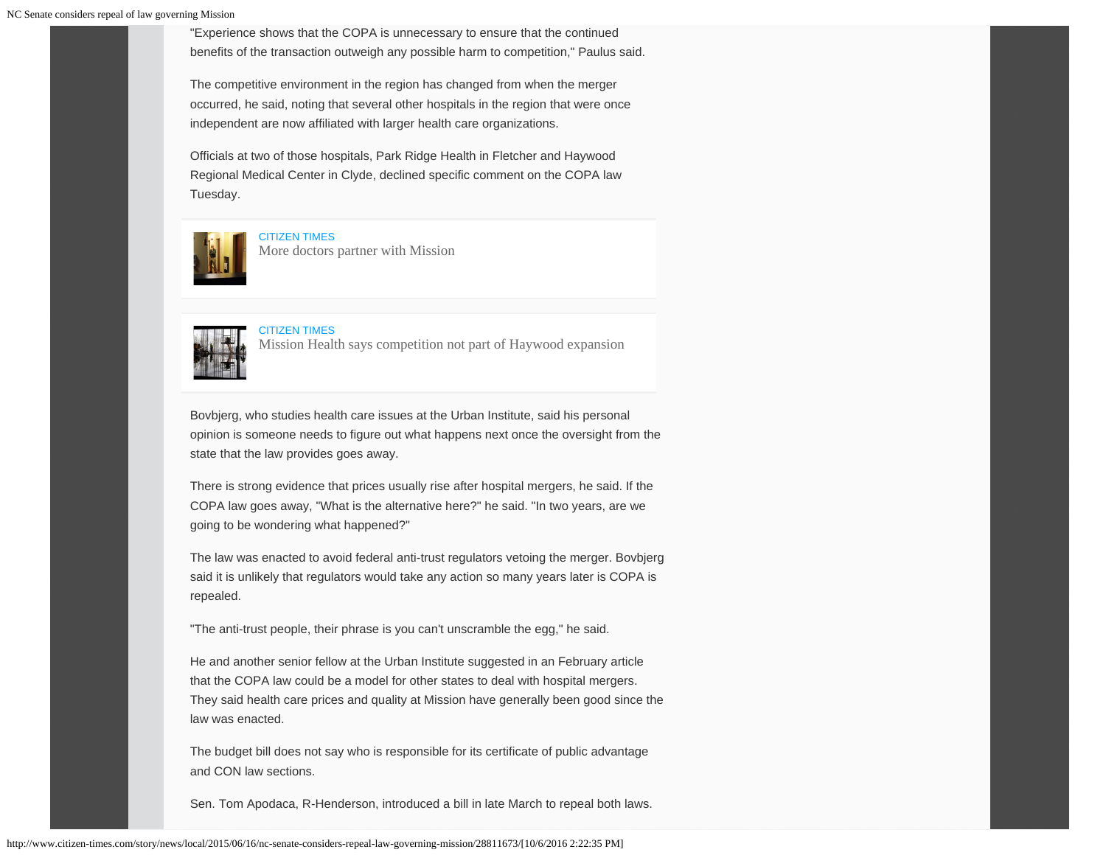"Experience shows that the COPA is unnecessary to ensure that the continued benefits of the transaction outweigh any possible harm to competition," Paulus said.

The competitive environment in the region has changed from when the merger occurred, he said, noting that several other hospitals in the region that were once independent are now affiliated with larger health care organizations.

Officials at two of those hospitals, Park Ridge Health in Fletcher and Haywood Regional Medical Center in Clyde, declined specific comment on the COPA law Tuesday.



[CITIZEN TIMES](http://www.citizen-times.com/story/news/local/2015/04/04/doctors-partner-mission/70854454/)

[More doctors partner with Mission](http://www.citizen-times.com/story/news/local/2015/04/04/doctors-partner-mission/70854454/)



[CITIZEN TIMES](http://www.citizen-times.com/story/news/local/2015/01/14/mission-says-competition-part-haywood-expansion/21766895/) [Mission Health says competition not part of Haywood expansion](http://www.citizen-times.com/story/news/local/2015/01/14/mission-says-competition-part-haywood-expansion/21766895/)

Bovbjerg, who studies health care issues at the Urban Institute, said his personal opinion is someone needs to figure out what happens next once the oversight from the state that the law provides goes away.

There is strong evidence that prices usually rise after hospital mergers, he said. If the COPA law goes away, "What is the alternative here?" he said. "In two years, are we going to be wondering what happened?"

The law was enacted to avoid federal anti-trust regulators vetoing the merger. Bovbjerg said it is unlikely that regulators would take any action so many years later is COPA is repealed.

"The anti-trust people, their phrase is you can't unscramble the egg," he said.

He and another senior fellow at the Urban Institute suggested in an February article that the COPA law could be a model for other states to deal with hospital mergers. They said health care prices and quality at Mission have generally been good since the law was enacted.

The budget bill does not say who is responsible for its certificate of public advantage and CON law sections.

Sen. Tom Apodaca, R-Henderson, introduced a bill in late March to repeal both laws.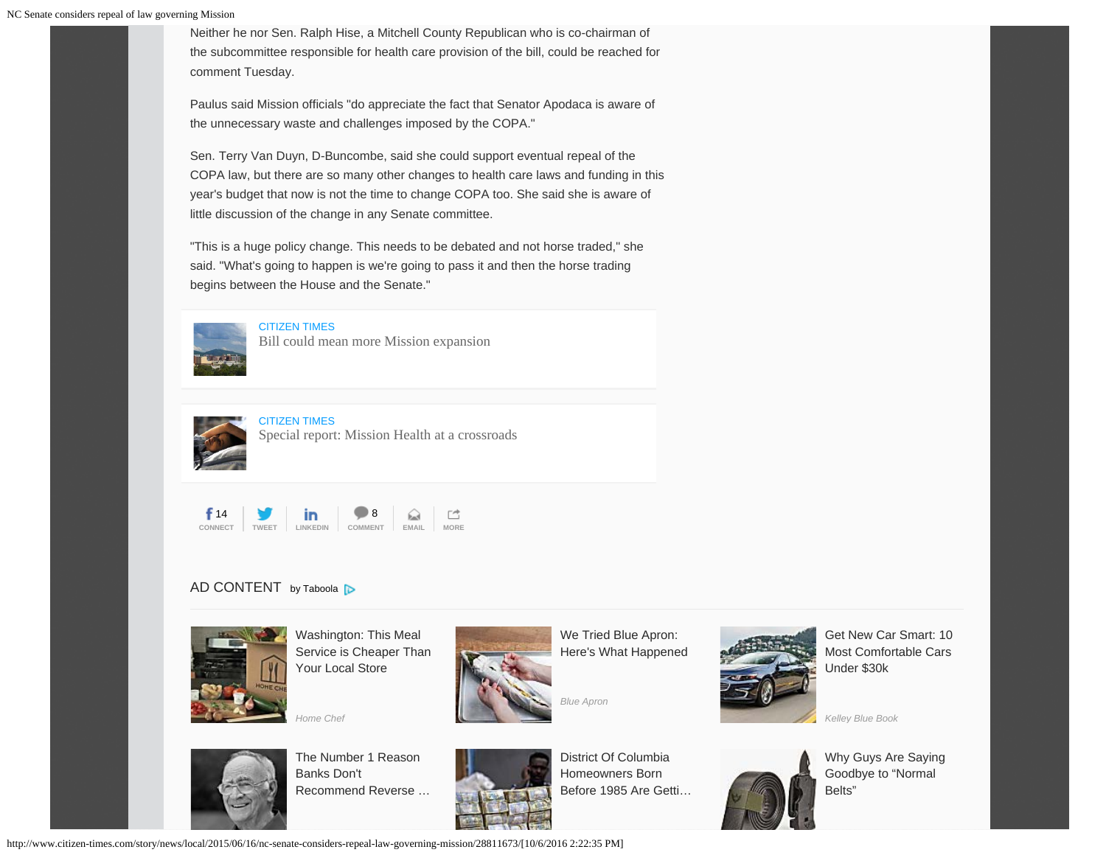Neither he nor Sen. Ralph Hise, a Mitchell County Republican who is co-chairman of the subcommittee responsible for health care provision of the bill, could be reached for comment Tuesday.

Paulus said Mission officials "do appreciate the fact that Senator Apodaca is aware of the unnecessary waste and challenges imposed by the COPA."

Sen. Terry Van Duyn, D-Buncombe, said she could support eventual repeal of the COPA law, but there are so many other changes to health care laws and funding in this year's budget that now is not the time to change COPA too. She said she is aware of little discussion of the change in any Senate committee.

"This is a huge policy change. This needs to be debated and not horse traded," she said. "What's going to happen is we're going to pass it and then the horse trading begins between the House and the Senate."



[CITIZEN TIMES](http://www.citizen-times.com/story/news/local/2015/03/26/bill-mean-mission-expansion/70511340/) [Bill could mean more Mission expansion](http://www.citizen-times.com/story/news/local/2015/03/26/bill-mean-mission-expansion/70511340/)



[CITIZEN TIMES](http://www.citizen-times.com/story/news/local/2015/03/28/special-report-mission-health-crossroads/70520032/) [Special report: Mission Health at a crossroads](http://www.citizen-times.com/story/news/local/2015/03/28/special-report-mission-health-crossroads/70520032/)



## AD CONTENT [by Taboola](http://popup.taboola.com/en/?template=colorbox&taboola_utm_source=gannettcompany-citizentimes&taboola_utm_medium=bytaboola&taboola_utm_content=thumbnails-h:grid-3x3:) **D**



[Washington: This Meal](https://www.homechef.com/skip-the-store?utm_source=taboola&utm_medium=cpc_clicks&utm_campaign=tab.30.1&voucher=TB30FREE&utm_content=%24%7Bcity%3Acapitalized%7D%24%3A+This+Meal+Service+is+Cheaper+Than+Your+Local+Store-http%3A%2F%2Fcdn.taboolasyndication.com%2Flibtrc%2Fstatic%2Fthumbnails%2Fc22d167f44a92bfcbe7d5dc27ed0980f.jpg&utm_term=gannettcompany-citizentimes) [Service is Cheaper Than](https://www.homechef.com/skip-the-store?utm_source=taboola&utm_medium=cpc_clicks&utm_campaign=tab.30.1&voucher=TB30FREE&utm_content=%24%7Bcity%3Acapitalized%7D%24%3A+This+Meal+Service+is+Cheaper+Than+Your+Local+Store-http%3A%2F%2Fcdn.taboolasyndication.com%2Flibtrc%2Fstatic%2Fthumbnails%2Fc22d167f44a92bfcbe7d5dc27ed0980f.jpg&utm_term=gannettcompany-citizentimes) [Your Local Store](https://www.homechef.com/skip-the-store?utm_source=taboola&utm_medium=cpc_clicks&utm_campaign=tab.30.1&voucher=TB30FREE&utm_content=%24%7Bcity%3Acapitalized%7D%24%3A+This+Meal+Service+is+Cheaper+Than+Your+Local+Store-http%3A%2F%2Fcdn.taboolasyndication.com%2Flibtrc%2Fstatic%2Fthumbnails%2Fc22d167f44a92bfcbe7d5dc27ed0980f.jpg&utm_term=gannettcompany-citizentimes)





[We Tried Blue Apron:](http://try.blueapron.com/perfectdinnertb/?cvosrc=content-paid.taboola.perfectdinnerTB1&utm_campaign=perfectdinnerTB1&utm_medium=content-paid&utm_source=taboola) [Here's What Happened](http://try.blueapron.com/perfectdinnertb/?cvosrc=content-paid.taboola.perfectdinnerTB1&utm_campaign=perfectdinnerTB1&utm_medium=content-paid&utm_source=taboola)



[Get New Car Smart: 10](https://ad.doubleclick.net/ddm/trackclk/N1558.1006845.TABOOLA.COM/B9682690.134039722;dc_trk_aid=306700429;dc_trk_cid=71992339;dc_lat=;dc_rdid=;tag_for_child_directed_treatment=?utm_source=taboola&utm_medium=referral) [Most Comfortable Cars](https://ad.doubleclick.net/ddm/trackclk/N1558.1006845.TABOOLA.COM/B9682690.134039722;dc_trk_aid=306700429;dc_trk_cid=71992339;dc_lat=;dc_rdid=;tag_for_child_directed_treatment=?utm_source=taboola&utm_medium=referral) [Under \\$30k](https://ad.doubleclick.net/ddm/trackclk/N1558.1006845.TABOOLA.COM/B9682690.134039722;dc_trk_aid=306700429;dc_trk_cid=71992339;dc_lat=;dc_rdid=;tag_for_child_directed_treatment=?utm_source=taboola&utm_medium=referral)

*[Kelley Blue Book](https://ad.doubleclick.net/ddm/trackclk/N1558.1006845.TABOOLA.COM/B9682690.134039722;dc_trk_aid=306700429;dc_trk_cid=71992339;dc_lat=;dc_rdid=;tag_for_child_directed_treatment=?utm_source=taboola&utm_medium=referral)*



[The Number 1 Reason](https://www.newretirement.com/retirement/the-new-retirement-plan-that-banks-dont-want-seniors-knowing/?nr_product=revmort&nr_a=taboola&nr_medium=contentmkt&nr_creative=1rsnbkdunrecRM&nr_adtype=ImageOverHeadLine&nr_adgroup=blkwhtmangls&nr_campaign=newretirbkrduknow&nr_keyword=&utm_medium=contentmkt&utm_source=taboola&utm_content=1rsnbkdunrecRM&nr_placement=gannettcompany-citizentimes) [Banks Don't](https://www.newretirement.com/retirement/the-new-retirement-plan-that-banks-dont-want-seniors-knowing/?nr_product=revmort&nr_a=taboola&nr_medium=contentmkt&nr_creative=1rsnbkdunrecRM&nr_adtype=ImageOverHeadLine&nr_adgroup=blkwhtmangls&nr_campaign=newretirbkrduknow&nr_keyword=&utm_medium=contentmkt&utm_source=taboola&utm_content=1rsnbkdunrecRM&nr_placement=gannettcompany-citizentimes) [Recommend Reverse …](https://www.newretirement.com/retirement/the-new-retirement-plan-that-banks-dont-want-seniors-knowing/?nr_product=revmort&nr_a=taboola&nr_medium=contentmkt&nr_creative=1rsnbkdunrecRM&nr_adtype=ImageOverHeadLine&nr_adgroup=blkwhtmangls&nr_campaign=newretirbkrduknow&nr_keyword=&utm_medium=contentmkt&utm_source=taboola&utm_content=1rsnbkdunrecRM&nr_placement=gannettcompany-citizentimes)



[District Of Columbia](https://www.fetcharate.com/pa/mortgage/?tg_ref=tblronnoms&&camp_id=%24%7Bregion%3Acapitalized%7D%24+Homeowners+Born+Before+1985+Are+Getting+a+Huge+Reward&keyword=gannettcompany-citizentimes&csg_ref=tapa&sub2=http%3A%2F%2Fcdn.taboolasyndication.com%2Flibtrc%2Fstatic%2Fthumbnails%2Fae21f7491fb5e9171f6bef8dcc2bccbb.jpg) [Homeowners Born](https://www.fetcharate.com/pa/mortgage/?tg_ref=tblronnoms&&camp_id=%24%7Bregion%3Acapitalized%7D%24+Homeowners+Born+Before+1985+Are+Getting+a+Huge+Reward&keyword=gannettcompany-citizentimes&csg_ref=tapa&sub2=http%3A%2F%2Fcdn.taboolasyndication.com%2Flibtrc%2Fstatic%2Fthumbnails%2Fae21f7491fb5e9171f6bef8dcc2bccbb.jpg) [Before 1985 Are Getti…](https://www.fetcharate.com/pa/mortgage/?tg_ref=tblronnoms&&camp_id=%24%7Bregion%3Acapitalized%7D%24+Homeowners+Born+Before+1985+Are+Getting+a+Huge+Reward&keyword=gannettcompany-citizentimes&csg_ref=tapa&sub2=http%3A%2F%2Fcdn.taboolasyndication.com%2Flibtrc%2Fstatic%2Fthumbnails%2Fae21f7491fb5e9171f6bef8dcc2bccbb.jpg)



[Why Guys Are Saying](https://www.slidebelts.com/pages/our-story) [Goodbye to "Normal](https://www.slidebelts.com/pages/our-story) [Belts"](https://www.slidebelts.com/pages/our-story)

http://www.citizen-times.com/story/news/local/2015/06/16/nc-senate-considers-repeal-law-governing-mission/28811673/[10/6/2016 2:22:35 PM]